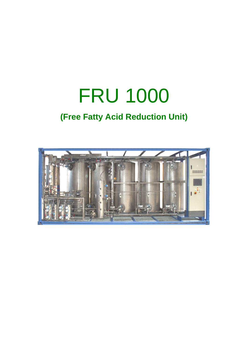# FRU 1000 **(Free Fatty Acid Reduction Unit)**

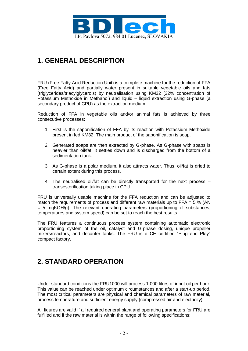

### **1. GENERAL DESCRIPTION**

FRU (Free Fatty Acid Reduction Unit) is a complete machine for the reduction of FFA (Free Fatty Acid) and partially water present in suitable vegetable oils and fats (triglycerides/triacylglycerols) by neutralisation using KM32 (32% concentration of Potassium Methoxide in Methanol) and liquid – liquid extraction using G-phase (a secondary product of CPU) as the extraction medium.

Reduction of FFA in vegetable oils and/or animal fats is achieved by three consecutive processes:

- 1. First is the saponification of FFA by its reaction with Potassium Methoxide present in fed KM32. The main product of the saponification is soap.
- 2. Generated soaps are then extracted by G-phase. As G-phase with soaps is heavier than oil/fat, it settles down and is discharged from the bottom of a sedimentation tank.
- 3. As G-phase is a polar medium, it also attracts water. Thus, oil/fat is dried to certain extent during this process.
- 4. The neutralised oil/fat can be directly transported for the next process transesterification taking place in CPU.

FRU is universally usable machine for the FFA reduction and can be adjusted to match the requirements of process and different raw materials up to FFA =  $5\%$  (AN  $= 5$  mgKOH/g). The relevant operating parameters (proportioning of substances, temperatures and system speed) can be set to reach the best results.

The FRU features a continuous process system containing automatic electronic proportioning system of the oil, catalyst and G-phase dosing, unique propeller mixers/reactors, and decanter tanks. The FRU is a CE certified "Plug and Play" compact factory.

#### **2. STANDARD OPERATION**

Under standard conditions the FRU1000 will process 1 000 litres of input oil per hour. This value can be reached under optimum circumstances and after a start-up period. The most critical parameters are physical and chemical parameters of raw material, process temperature and sufficient energy supply (compressed air and electricity).

All figures are valid if all required general plant and operating parameters for FRU are fulfilled and if the raw material is within the range of following specifications: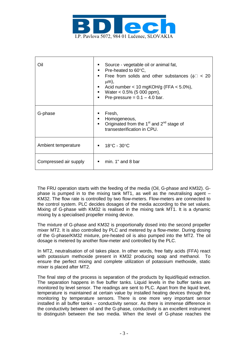

| Oil                   | Source - vegetable oil or animal fat,<br>Pre-heated to $60^{\circ}$ C,<br>٠<br>Free from solids and other substances ( $\phi$ $\approx$ 20<br>$\blacksquare$<br>$\mu$ m),<br>Acid number < 10 mgKOH/g (FFA $<$ 5.0%),<br>Water $< 0.5\%$ (5 000 ppm),<br>Pre-pressure = $0.1 - 4.0$ bar.<br>٠ |
|-----------------------|-----------------------------------------------------------------------------------------------------------------------------------------------------------------------------------------------------------------------------------------------------------------------------------------------|
| G-phase               | Fresh,<br>Homogeneous,<br>٠<br>• Originated from the 1 <sup>st</sup> and $2^{nd}$ stage of<br>transesterification in CPU.                                                                                                                                                                     |
| Ambient temperature   | $\blacksquare$ 18°C - 30°C                                                                                                                                                                                                                                                                    |
| Compressed air supply | min. 1" and 8 bar<br>٠                                                                                                                                                                                                                                                                        |

The FRU operation starts with the feeding of the media (Oil, G-phase and KM32). Gphase is pumped in to the mixing tank MT1, as well as the neutralising agent – KM32. The flow rate is controlled by two flow-meters. Flow-meters are connected to the control system. PLC decides dosages of the media according to the set values. Mixing of G-phase with KM32 is realised in the mixing tank MT1. It is a dynamic mixing by a specialised propeller mixing device.

The mixture of G-phase and KM32 is proportionally dosed into the second propeller mixer MT2. It is also controlled by PLC and metered by a flow-meter. During dosing of the G-phase/KM32 mixture, pre-heated oil is also pumped into the MT2. The oil dosage is metered by another flow-meter and controlled by the PLC.

In MT2, neutralisation of oil takes place. In other words, free fatty acids (FFA) react with potassium methoxide present in KM32 producing soap and methanol. To ensure the perfect mixing and complete utilization of potassium methoxide, static mixer is placed after MT2.

The final step of the process is separation of the products by liquid/liquid extraction. The separation happens in five buffer tanks. Liquid levels in the buffer tanks are monitored by level sensor. The readings are sent to PLC. Apart from the liquid level, temperature is maintained at certain value by installed heating devices through the monitoring by temperature sensors. There is one more very important sensor installed in all buffer tanks – conductivity sensor. As there is immense difference in the conductivity between oil and the G-phase, conductivity is an excellent instrument to distinguish between the two media. When the level of G-phase reaches the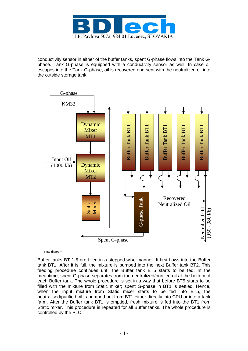

conductivity sensor in either of the buffer tanks, spent G-phase flows into the Tank Gphase. Tank G-phase is equipped with a conductivity sensor as well. In case oil escapes into the Tank G-phase, oil is recovered and sent with the neutralized oil into the outside storage tank.



Flow diagram

Buffer tanks BT 1-5 are filled in a stepped-wise manner. It first flows into the Buffer tank BT1. After it is full, the mixture is pumped into the next Buffer tank BT2. This feeding procedure continues until the Buffer tank BT5 starts to be fed. In the meantime, spent G-phase separates from the neutralized/purified oil at the bottom of each Buffer tank. The whole procedure is set in a way that before BT5 starts to be filled with the mixture from Static mixer; spent G-phase in BT1 is settled. Hence, when the input mixture from Static mixer starts to be fed into BT5, the neutralised/purified oil is pumped out from BT1 either directly into CPU or into a tank farm. After the Buffer tank BT1 is emptied, fresh mixture is fed into the BT1 from Static mixer. This procedure is repeated for all Buffer tanks. The whole procedure is controlled by the PLC.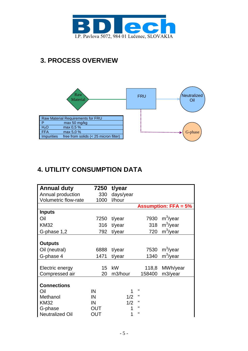

## **3. PROCESS OVERVIEW**



### **4. UTILITY CONSUMPTION DATA**

| <b>Annual duty</b>     | 7250 | t/year    |              |                             |
|------------------------|------|-----------|--------------|-----------------------------|
| Annual production      | 330  | days/year |              |                             |
| Volumetric flow-rate   | 1000 | l/hour    |              |                             |
|                        |      |           |              | <b>Assumption: FFA = 5%</b> |
| <b>Inputs</b>          |      |           |              |                             |
| Oil                    | 7250 | t/year    | 7930         | $m^3$ /year                 |
| <b>KM32</b>            | 316  | t/year    | 318          | $m^3$ /year                 |
| G-phase 1,2            | 792  | t/year    | 720          | $m^3$ /year                 |
|                        |      |           |              |                             |
| <b>Outputs</b>         |      |           |              |                             |
| Oil (neutral)          | 6888 | t/year    | 7530         | $m^3$ /year                 |
| G-phase 4              | 1471 | t/year    | 1340         | $m^3$ /year                 |
|                        |      |           |              |                             |
| Electric energy        | 15   | kW        | 118,8        | MWh/year                    |
| Compressed air         | 20   | m3/hour   | 158400       | m3/year                     |
|                        |      |           |              |                             |
| <b>Connections</b>     |      |           |              |                             |
| Oil                    | IN   | 1         | п            |                             |
| Methanol               | IN   | 1/2       | Ш            |                             |
| <b>KM32</b>            | IN   | 1/2       | п            |                             |
| G-phase                | OUT  |           | п            |                             |
| <b>Neutralized Oil</b> | OUT  |           | $\mathbf{H}$ |                             |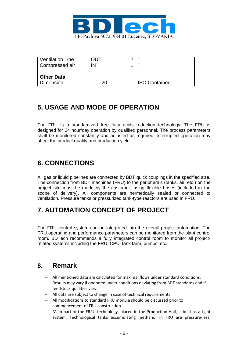

| Ventilation Line  | OUT     | - 11                 |
|-------------------|---------|----------------------|
| Compressed air    | IN      | ш                    |
|                   |         |                      |
| <b>Other Data</b> |         |                      |
| Dimension         | ш<br>20 | <b>ISO Container</b> |

### **5. USAGE AND MODE OF OPERATION**

The FRU is a standardized free fatty acids reduction technology. The FRU is designed for 24 hour/day operation by qualified personnel. The process parameters shall be monitored constantly and adjusted as required. Interrupted operation may affect the product quality and production yield.

### **6. CONNECTIONS**

All gas or liquid pipelines are connected by BDT quick couplings in the specified size. The connection from BDT machines (FRU) to the peripherals (tanks, air, etc.) on the project site must be made by the customer, using flexible hoses (included in the scope of delivery). All components are hermetically sealed or connected to ventilation. Pressure tanks or pressurized tank-type reactors are used in FRU.

## **7. AUTOMATION CONCEPT OF PROJECT**

The FRU control system can be integrated into the overall project automation. The FRU operating and performance parameters can be monitored from the plant control room. BDTech recommends a fully integrated control room to monitor all projectrelated systems including the FRU, CPU, tank farm, pumps, etc.

#### **8. Remark**

- All mentioned data are calculated for maximal flows under standard conditions. Results may vary if operated under conditions deviating from BDT standards and if feedstock qualities vary.
- All data are subject to change in case of technical requirements.
- All modifications to standard FRU module should be discussed prior to commencement of FRU construction.
- Main part of the FRPU technology, placed in the Production Hall, is built as a tight system. Technological tanks accumulating methanol in FRU are pressure-less,